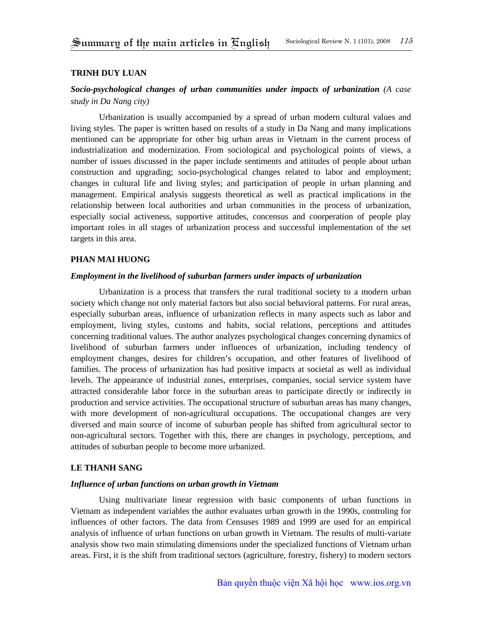#### **TRINH DUY LUAN**

# *Socio-psychological changes of urban communities under impacts of urbanization (A case study in Da Nang city)*

Urbanization is usually accompanied by a spread of urban modern cultural values and living styles. The paper is written based on results of a study in Da Nang and many implications mentioned can be appropriate for other big urban areas in Vietnam in the current process of industrialization and modernization. From sociological and psychological points of views, a number of issues discussed in the paper include sentiments and attitudes of people about urban construction and upgrading; socio-psychological changes related to labor and employment; changes in cultural life and living styles; and participation of people in urban planning and management. Empirical analysis suggests theoretical as well as practical implications in the relationship between local authorities and urban communities in the process of urbanization, especially social activeness, supportive attitudes, concensus and coorperation of people play important roles in all stages of urbanization process and successful implementation of the set targets in this area.

# **PHAN MAI HUONG**

# *Employment in the livelihood of suburban farmers under impacts of urbanization*

Urbanization is a process that transfers the rural traditional society to a modern urban society which change not only material factors but also social behavioral patterns. For rural areas, especially suburban areas, influence of urbanization reflects in many aspects such as labor and employment, living styles, customs and habits, social relations, perceptions and attitudes concerning traditional values. The author analyzes psychological changes concerning dynamics of livelihood of suburban farmers under influences of urbanization, including tendency of employment changes, desires for children's occupation, and other features of livelihood of families. The process of urbanization has had positive impacts at societal as well as individual levels. The appearance of industrial zones, enterprises, companies, social service system have attracted considerable labor force in the suburban areas to participate directly or indirectly in production and service activities. The occupational structure of suburban areas has many changes, with more development of non-agricultural occupations. The occupational changes are very diversed and main source of income of suburban people has shifted from agricultural sector to non-agricultural sectors. Together with this, there are changes in psychology, perceptions, and attitudes of suburban people to become more urbanized.

#### **LE THANH SANG**

### *Influence of urban functions on urban growth in Vietnam*

Using multivariate linear regression with basic components of urban functions in Vietnam as independent variables the author evaluates urban growth in the 1990s, controling for influences of other factors. The data from Censuses 1989 and 1999 are used for an empirical analysis of influence of urban functions on urban growth in Vietnam. The results of multi-variate analysis show two main stimulating dimensions under the specialized functions of Vietnam urban areas. First, it is the shift from traditional sectors (agriculture, forestry, fishery) to modern sectors